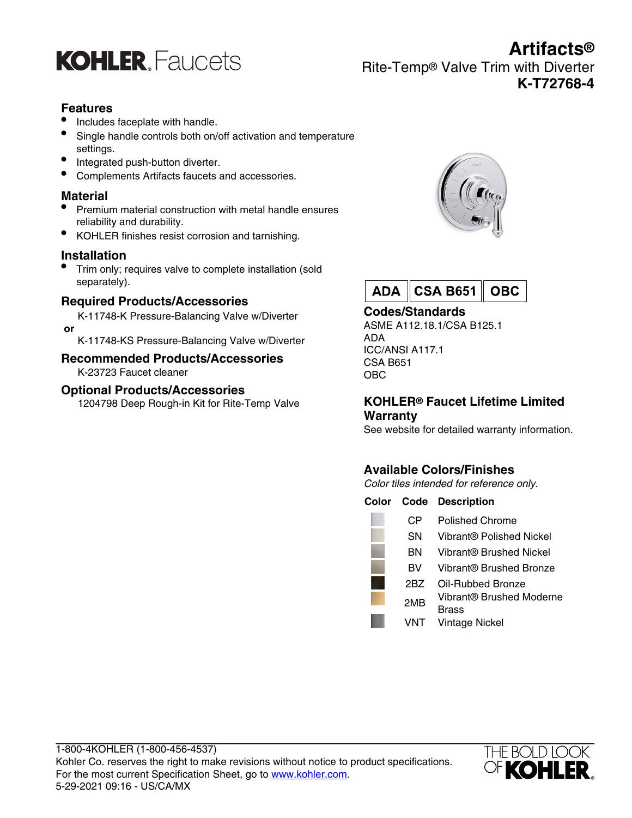

**Artifacts®** Rite-Temp® Valve Trim with Diverter **K-T72768-4**

## **Features**

- Includes faceplate with handle.
- Single handle controls both on/off activation and temperature settings.
- Integrated push-button diverter.
- Complements Artifacts faucets and accessories.

## **Material**

- Premium material construction with metal handle ensures reliability and durability.
- KOHLER finishes resist corrosion and tarnishing.

#### **Installation**

• Trim only; requires valve to complete installation (sold separately).

## **Required Products/Accessories**

K-11748-K Pressure-Balancing Valve w/Diverter  **or**

K-11748-KS Pressure-Balancing Valve w/Diverter

#### **Recommended Products/Accessories** K-23723 Faucet cleaner

# **Optional Products/Accessories**

1204798 Deep Rough-in Kit for Rite-Temp Valve





## **Codes/Standards**

ASME A112.18.1/CSA B125.1 ADA ICC/ANSI A117.1 CSA B651 OBC

#### **KOHLER® Faucet Lifetime Limited Warranty**

See website for detailed warranty information.

# **Available Colors/Finishes**

Color tiles intended for reference only.

| Color |     | <b>Code Description</b>           |
|-------|-----|-----------------------------------|
|       | CР  | Polished Chrome                   |
|       | SΝ  | Vibrant® Polished Nickel          |
|       | ΒN  | Vibrant® Brushed Nickel           |
|       | вv  | Vibrant® Brushed Bronze           |
|       | 2BZ | Oil-Rubbed Bronze                 |
|       | 2MB | Vibrant® Brushed Moderne<br>Brass |
|       | VNT | <b>Vintage Nickel</b>             |